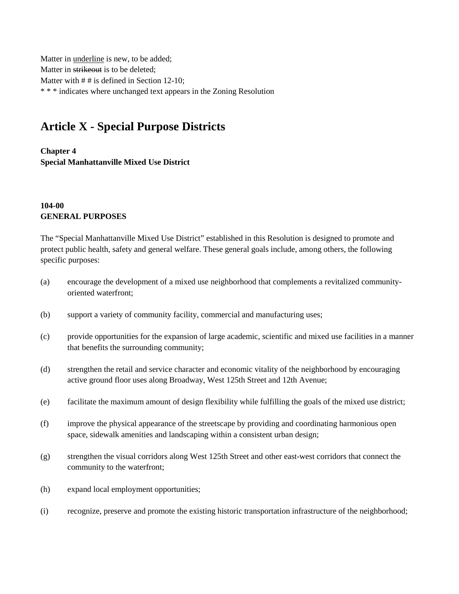Matter in underline is new, to be added; Matter in strikeout is to be deleted; Matter with  $# #$  is defined in Section 12-10; \* \* \* indicates where unchanged text appears in the Zoning Resolution

## **Article X - Special Purpose Districts**

**Chapter 4 Special Manhattanville Mixed Use District**

## **104-00 GENERAL PURPOSES**

The "Special Manhattanville Mixed Use District" established in this Resolution is designed to promote and protect public health, safety and general welfare. These general goals include, among others, the following specific purposes:

- (a) encourage the development of a mixed use neighborhood that complements a revitalized communityoriented waterfront;
- (b) support a variety of community facility, commercial and manufacturing uses;
- (c) provide opportunities for the expansion of large academic, scientific and mixed use facilities in a manner that benefits the surrounding community;
- (d) strengthen the retail and service character and economic vitality of the neighborhood by encouraging active ground floor uses along Broadway, West 125th Street and 12th Avenue;
- (e) facilitate the maximum amount of design flexibility while fulfilling the goals of the mixed use district;
- (f) improve the physical appearance of the streetscape by providing and coordinating harmonious open space, sidewalk amenities and landscaping within a consistent urban design;
- (g) strengthen the visual corridors along West 125th Street and other east-west corridors that connect the community to the waterfront;
- (h) expand local employment opportunities;
- (i) recognize, preserve and promote the existing historic transportation infrastructure of the neighborhood;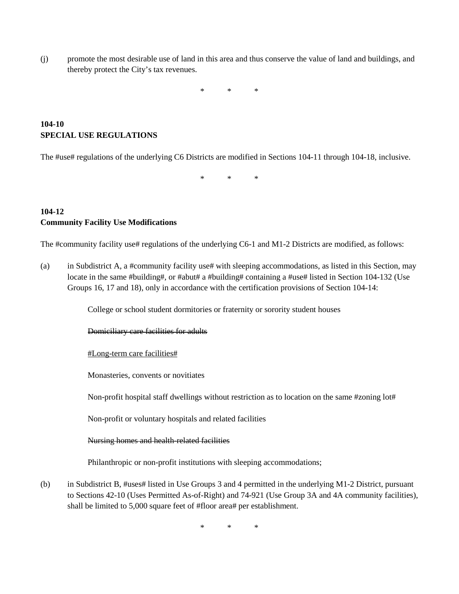(j) promote the most desirable use of land in this area and thus conserve the value of land and buildings, and thereby protect the City's tax revenues.

\* \* \*

## **104-10 SPECIAL USE REGULATIONS**

The #use# regulations of the underlying C6 Districts are modified in Sections 104-11 through 104-18, inclusive.

\* \* \*

## **104-12 Community Facility Use Modifications**

The #community facility use# regulations of the underlying C6-1 and M1-2 Districts are modified, as follows:

(a) in Subdistrict A, a #community facility use# with sleeping accommodations, as listed in this Section, may locate in the same #building#, or #abut# a #building# containing a #use# listed in Section 104-132 (Use Groups 16, 17 and 18), only in accordance with the certification provisions of Section 104-14:

College or school student dormitories or fraternity or sorority student houses

Domiciliary care facilities for adults

#Long-term care facilities#

Monasteries, convents or novitiates

Non-profit hospital staff dwellings without restriction as to location on the same #zoning lot#

Non-profit or voluntary hospitals and related facilities

#### Nursing homes and health-related facilities

Philanthropic or non-profit institutions with sleeping accommodations;

(b) in Subdistrict B, #uses# listed in Use Groups 3 and 4 permitted in the underlying M1-2 District, pursuant to Sections 42-10 (Uses Permitted As-of-Right) and 74-921 (Use Group 3A and 4A community facilities), shall be limited to 5,000 square feet of #floor area# per establishment.

\* \* \*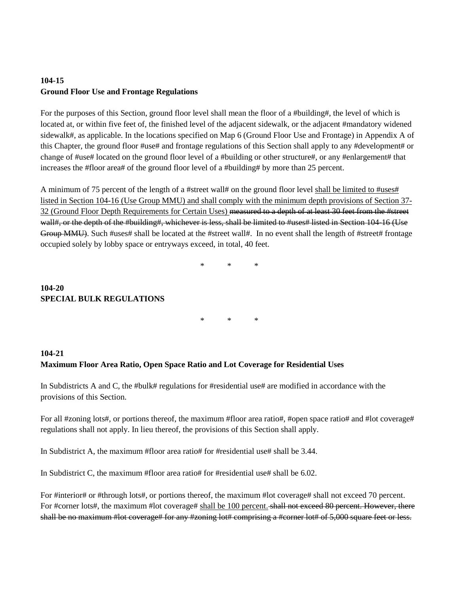## **104-15 Ground Floor Use and Frontage Regulations**

For the purposes of this Section, ground floor level shall mean the floor of a #building#, the level of which is located at, or within five feet of, the finished level of the adjacent sidewalk, or the adjacent #mandatory widened sidewalk#, as applicable. In the locations specified on Map 6 (Ground Floor Use and Frontage) in Appendix A of this Chapter, the ground floor #use# and frontage regulations of this Section shall apply to any #development# or change of #use# located on the ground floor level of a #building or other structure#, or any #enlargement# that increases the #floor area# of the ground floor level of a #building# by more than 25 percent.

A minimum of 75 percent of the length of a #street wall# on the ground floor level shall be limited to #uses# listed in Section 104-16 (Use Group MMU) and shall comply with the minimum depth provisions of Section 37- 32 (Ground Floor Depth Requirements for Certain Uses) measured to a depth of at least 30 feet from the #street wall#, or the depth of the #building#, whichever is less, shall be limited to #uses# listed in Section 104-16 (Use Group MMU). Such #uses# shall be located at the #street wall#. In no event shall the length of #street# frontage occupied solely by lobby space or entryways exceed, in total, 40 feet.

\* \* \*

## **104-20 SPECIAL BULK REGULATIONS**

\* \* \*

## **104-21 Maximum Floor Area Ratio, Open Space Ratio and Lot Coverage for Residential Uses**

In Subdistricts A and C, the #bulk# regulations for #residential use# are modified in accordance with the provisions of this Section.

For all #zoning lots#, or portions thereof, the maximum #floor area ratio#, #open space ratio# and #lot coverage# regulations shall not apply. In lieu thereof, the provisions of this Section shall apply.

In Subdistrict A, the maximum #floor area ratio# for #residential use# shall be  $3.44$ .

In Subdistrict C, the maximum #floor area ratio# for #residential use# shall be  $6.02$ .

For #interior# or #through lots#, or portions thereof, the maximum #lot coverage# shall not exceed 70 percent. For #corner lots#, the maximum #lot coverage# shall be 100 percent. shall not exceed 80 percent. However, there shall be no maximum #lot coverage# for any #zoning lot# comprising a #corner lot# of 5,000 square feet or less.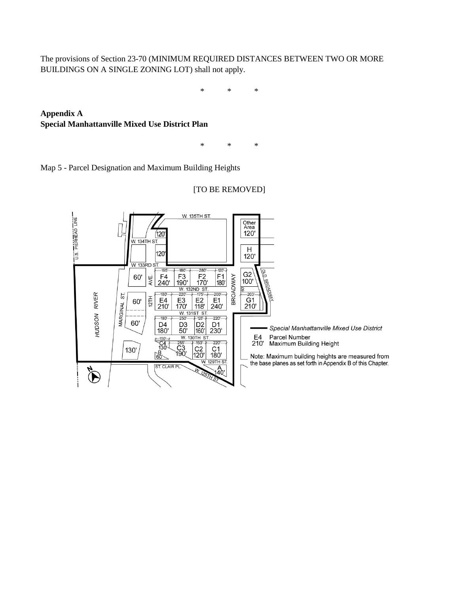The provisions of Section 23-70 (MINIMUM REQUIRED DISTANCES BETWEEN TWO OR MORE BUILDINGS ON A SINGLE ZONING LOT) shall not apply.

\* \* \*

**Appendix A Special Manhattanville Mixed Use District Plan**

\* \* \*

Map 5 - Parcel Designation and Maximum Building Heights

# [TO BE REMOVED]

U.S. PIERHEAD LINE **W. 135TH ST.** Other<br>Area<br>120' 12C W. 134TH ST.  $H$ 120  $120'$ **W. 133RD ST.**  $-180'$  $-280'$  $-120 -195$  $rac{G2}{100}$  $F_4$ <br>240'  $F_3$ <br>190'  $F<sup>2</sup>$ <br>170'  $\begin{bmatrix} 51 \\ 180 \end{bmatrix}$ **BROADWAY** 60' AVE.  $\frac{120}{100}$  M. 132ND ST  $-203'$  $-180'$  $-200'$ HUDSON RIVER ST.  $rac{E2}{118}$  $\frac{61}{210}$ 12TH  $E_4$ <br>210'  $E_1$ <br>240' E3<br>170' 60' MARGINAL<sub>S</sub>  $-180'$  $-220'$ 60' D4<br>180'  $\begin{bmatrix} D2 \\ 160 \end{bmatrix}$ D<sub>1</sub><br>230' D<sub>3</sub><br>50' Special Manhattanville Mixed Use District W. 130TH ST E4 Parcel Number  $\frac{150}{C4}$ <br>130  $\frac{1}{255}$ <br>C<sub>3</sub><br>190  $\frac{11}{150}$  $-220 -$ 210' Maximum Building Height  $\begin{bmatrix} 2 & 2 & 1 \\ 2 & 1 & 1 \\ 1 & 1 & 1 \\ 2 & 1 & 1 \\ 1 & 2 & 1 \\ 2 & 1 & 1 \\ 3 & 4 & 5 \end{bmatrix}$  $\overline{) \text{C2}}$ <br>120' 130' 0m<br>160'~ Note: Maximum building heights are measured from the base planes as set forth in Appendix B of this Chapter. ST. CLAIR PL.  $\hat{\mathbf{P}}$  $\overline{A_{0}}$